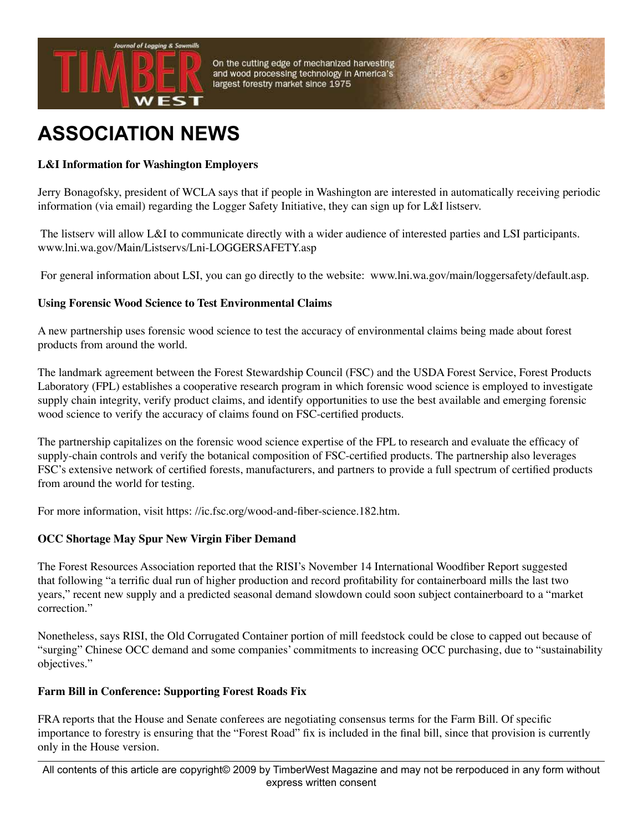

On the cutting edge of mechanized harvesting and wood processing technology in America's largest forestry market since 1975

# **ASSOCIATION NEWS**

## **L&I Information for Washington Employers**

Jerry Bonagofsky, president of WCLA says that if people in Washington are interested in automatically receiving periodic information (via email) regarding the Logger Safety Initiative, they can sign up for L&I listserv.

 The listserv will allow L&I to communicate directly with a wider audience of interested parties and LSI participants. www.lni.wa.gov/Main/Listservs/Lni-LOGGERSAFETY.asp

For general information about LSI, you can go directly to the website: www.lni.wa.gov/main/loggersafety/default.asp.

### **Using Forensic Wood Science to Test Environmental Claims**

A new partnership uses forensic wood science to test the accuracy of environmental claims being made about forest products from around the world.

The landmark agreement between the Forest Stewardship Council (FSC) and the USDA Forest Service, Forest Products Laboratory (FPL) establishes a cooperative research program in which forensic wood science is employed to investigate supply chain integrity, verify product claims, and identify opportunities to use the best available and emerging forensic wood science to verify the accuracy of claims found on FSC-certified products.

The partnership capitalizes on the forensic wood science expertise of the FPL to research and evaluate the efficacy of supply-chain controls and verify the botanical composition of FSC-certified products. The partnership also leverages FSC's extensive network of certified forests, manufacturers, and partners to provide a full spectrum of certified products from around the world for testing.

For more information, visit https: //ic.fsc.org/wood-and-fiber-science.182.htm.

### **OCC Shortage May Spur New Virgin Fiber Demand**

The Forest Resources Association reported that the RISI's November 14 International Woodfiber Report suggested that following "a terrific dual run of higher production and record profitability for containerboard mills the last two years," recent new supply and a predicted seasonal demand slowdown could soon subject containerboard to a "market correction."

Nonetheless, says RISI, the Old Corrugated Container portion of mill feedstock could be close to capped out because of "surging" Chinese OCC demand and some companies' commitments to increasing OCC purchasing, due to "sustainability objectives."

### **Farm Bill in Conference: Supporting Forest Roads Fix**

FRA reports that the House and Senate conferees are negotiating consensus terms for the Farm Bill. Of specific importance to forestry is ensuring that the "Forest Road" fix is included in the final bill, since that provision is currently only in the House version.

All contents of this article are copyright© 2009 by TimberWest Magazine and may not be rerpoduced in any form without express written consent